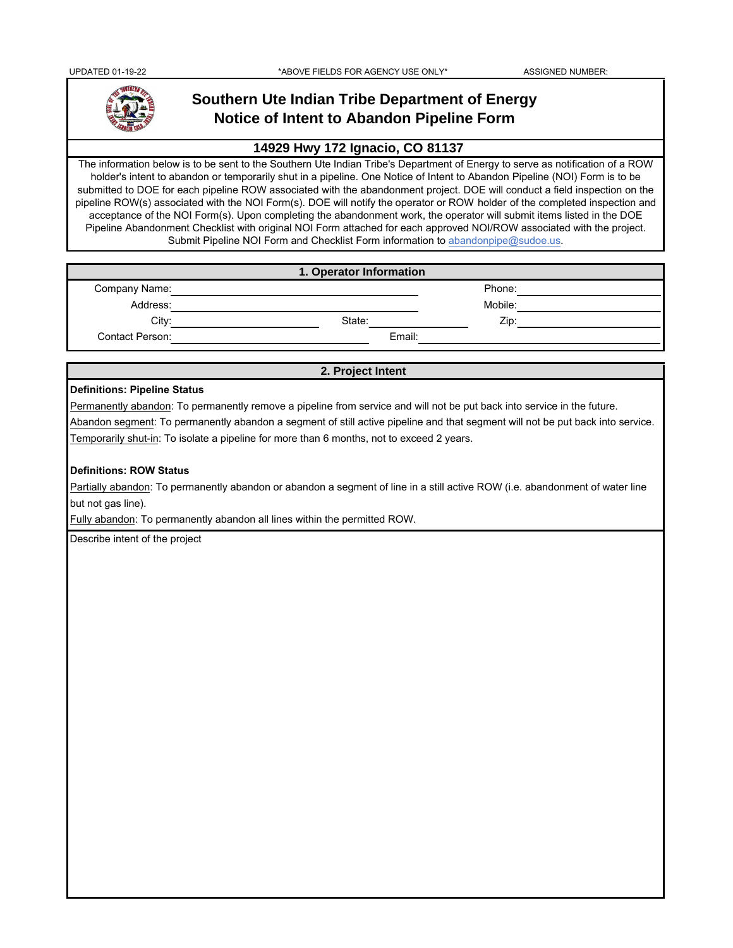

# **Southern Ute Indian Tribe Department of Energy Notice of Intent to Abandon Pipeline Form**

## **14929 Hwy 172 Ignacio, CO 81137**

The information below is to be sent to the Southern Ute Indian Tribe's Department of Energy to serve as notification of a ROW holder's intent to abandon or temporarily shut in a pipeline. One Notice of Intent to Abandon Pipeline (NOI) Form is to be submitted to DOE for each pipeline ROW associated with the abandonment project. DOE will conduct a field inspection on the pipeline ROW(s) associated with the NOI Form(s). DOE will notify the operator or ROW holder of the completed inspection and acceptance of the NOI Form(s). Upon completing the abandonment work, the operator will submit items listed in the DOE Pipeline Abandonment Checklist with original NOI Form attached for each approved NOI/ROW associated with the project. Submit Pipeline NOI Form and Checklist Form information to abandonpipe@sudoe.us.

| 1. Operator Information |        |         |  |
|-------------------------|--------|---------|--|
| Company Name:           |        | Phone:  |  |
| Address:                |        | Mobile: |  |
| City:                   | State: | Zip:    |  |
| Contact Person:         | Email: |         |  |

#### **2. Project Intent**

### **Definitions: Pipeline Status**

Permanently abandon: To permanently remove a pipeline from service and will not be put back into service in the future.

Abandon segment: To permanently abandon a segment of still active pipeline and that segment will not be put back into service. Temporarily shut-in: To isolate a pipeline for more than 6 months, not to exceed 2 years.

#### **Definitions: ROW Status**

Partially abandon: To permanently abandon or abandon a segment of line in a still active ROW (i.e. abandonment of water line but not gas line).

Fully abandon: To permanently abandon all lines within the permitted ROW.

Describe intent of the project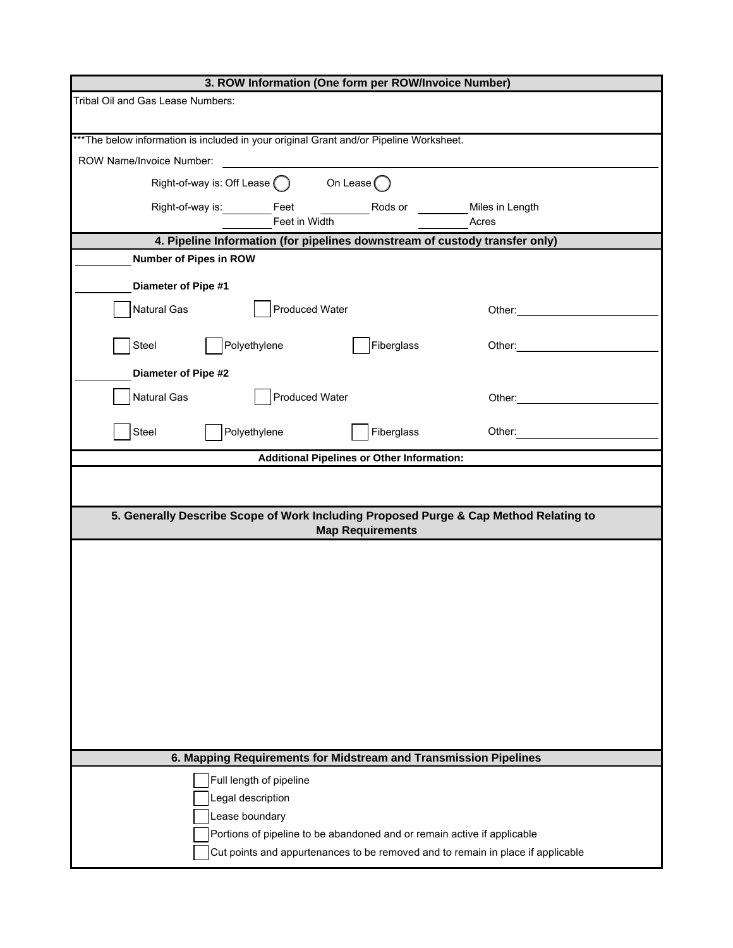| 3. ROW Information (One form per ROW/Invoice Number)                                                                                                                                                                                                                   |  |  |  |  |
|------------------------------------------------------------------------------------------------------------------------------------------------------------------------------------------------------------------------------------------------------------------------|--|--|--|--|
| Tribal Oil and Gas Lease Numbers:                                                                                                                                                                                                                                      |  |  |  |  |
| *** The below information is included in your original Grant and/or Pipeline Worksheet.                                                                                                                                                                                |  |  |  |  |
| ROW Name/Invoice Number:                                                                                                                                                                                                                                               |  |  |  |  |
| On Lease $($<br>Right-of-way is: Off Lease (                                                                                                                                                                                                                           |  |  |  |  |
| Right-of-way is: Feet<br>Rods or<br>Miles in Length<br>Feet in Width<br>Acres                                                                                                                                                                                          |  |  |  |  |
| 4. Pipeline Information (for pipelines downstream of custody transfer only)                                                                                                                                                                                            |  |  |  |  |
| <b>Number of Pipes in ROW</b>                                                                                                                                                                                                                                          |  |  |  |  |
| Diameter of Pipe #1                                                                                                                                                                                                                                                    |  |  |  |  |
| <b>Produced Water</b><br><b>Natural Gas</b><br>Other: ___________                                                                                                                                                                                                      |  |  |  |  |
| Polyethylene<br>Fiberglass<br>Steel<br>Other:                                                                                                                                                                                                                          |  |  |  |  |
| <b>Diameter of Pipe #2</b>                                                                                                                                                                                                                                             |  |  |  |  |
| Natural Gas<br><b>Produced Water</b><br>Other: and the control of the control of the control of the control of the control of the control of the control of the control of the control of the control of the control of the control of the control of the control of t |  |  |  |  |
| Polyethylene<br>Fiberglass<br>Steel<br>Other: and the control of the control of the control of the control of the control of the control of the control of the control of the control of the control of the control of the control of the control of the control of t  |  |  |  |  |
| <b>Additional Pipelines or Other Information:</b>                                                                                                                                                                                                                      |  |  |  |  |
|                                                                                                                                                                                                                                                                        |  |  |  |  |
| 5. Generally Describe Scope of Work Including Proposed Purge & Cap Method Relating to<br><b>Map Requirements</b>                                                                                                                                                       |  |  |  |  |
|                                                                                                                                                                                                                                                                        |  |  |  |  |
|                                                                                                                                                                                                                                                                        |  |  |  |  |
|                                                                                                                                                                                                                                                                        |  |  |  |  |
|                                                                                                                                                                                                                                                                        |  |  |  |  |
|                                                                                                                                                                                                                                                                        |  |  |  |  |
|                                                                                                                                                                                                                                                                        |  |  |  |  |
|                                                                                                                                                                                                                                                                        |  |  |  |  |
|                                                                                                                                                                                                                                                                        |  |  |  |  |
|                                                                                                                                                                                                                                                                        |  |  |  |  |
|                                                                                                                                                                                                                                                                        |  |  |  |  |
| 6. Mapping Requirements for Midstream and Transmission Pipelines                                                                                                                                                                                                       |  |  |  |  |
| Full length of pipeline                                                                                                                                                                                                                                                |  |  |  |  |
| Legal description                                                                                                                                                                                                                                                      |  |  |  |  |
| Lease boundary                                                                                                                                                                                                                                                         |  |  |  |  |
| Portions of pipeline to be abandoned and or remain active if applicable                                                                                                                                                                                                |  |  |  |  |
| Cut points and appurtenances to be removed and to remain in place if applicable                                                                                                                                                                                        |  |  |  |  |